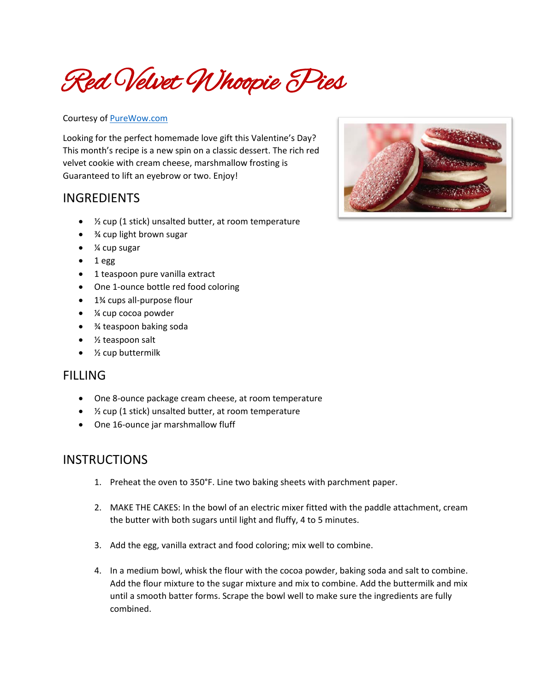Red Velvet Whoopie Pies

## Courtesy of [PureWow.com](https://www.purewow.com/recipes/Red-Velvet-Whoopie-Pies)

Looking for the perfect homemade love gift this Valentine's Day? This month's recipe is a new spin on a classic dessert. The rich red velvet cookie with cream cheese, marshmallow frosting is Guaranteed to lift an eyebrow or two. Enjoy!

## INGREDIENTS

- ½ cup (1 stick) unsalted butter, at room temperature
- ¾ cup light brown sugar
- ¼ cup sugar
- 1 egg
- 1 teaspoon pure vanilla extract
- One 1-ounce bottle red food coloring
- 1<sup>3</sup>⁄4 cups all-purpose flour
- ¼ cup cocoa powder
- ¾ teaspoon baking soda
- ½ teaspoon salt
- ½ cup buttermilk

## FILLING

- One 8-ounce package cream cheese, at room temperature
- ½ cup (1 stick) unsalted butter, at room temperature
- One 16-ounce jar marshmallow fluff

## **INSTRUCTIONS**

- 1. Preheat the oven to 350°F. Line two baking sheets with parchment paper.
- 2. MAKE THE CAKES: In the bowl of an electric mixer fitted with the paddle attachment, cream the butter with both sugars until light and fluffy, 4 to 5 minutes.
- 3. Add the egg, vanilla extract and food coloring; mix well to combine.
- 4. In a medium bowl, whisk the flour with the cocoa powder, baking soda and salt to combine. Add the flour mixture to the sugar mixture and mix to combine. Add the buttermilk and mix until a smooth batter forms. Scrape the bowl well to make sure the ingredients are fully combined.